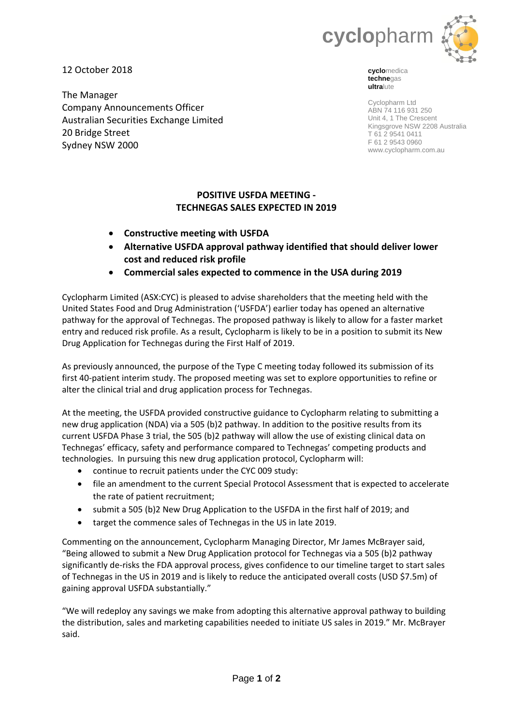

12 October 2018

The Manager Company Announcements Officer Australian Securities Exchange Limited 20 Bridge Street Sydney NSW 2000

**cyclo**medica **techne**gas **ultra**lute

Cyclopharm Ltd ABN 74 116 931 250 Unit 4, 1 The Crescent Kingsgrove NSW 2208 Australia T 61 2 9541 0411 F 61 2 9543 0960 www.cyclopharm.com.au

# **POSITIVE USFDA MEETING - TECHNEGAS SALES EXPECTED IN 2019**

- **Constructive meeting with USFDA**
- **Alternative USFDA approval pathway identified that should deliver lower cost and reduced risk profile**
- **Commercial sales expected to commence in the USA during 2019**

Cyclopharm Limited (ASX:CYC) is pleased to advise shareholders that the meeting held with the United States Food and Drug Administration ('USFDA') earlier today has opened an alternative pathway for the approval of Technegas. The proposed pathway is likely to allow for a faster market entry and reduced risk profile. As a result, Cyclopharm is likely to be in a position to submit its New Drug Application for Technegas during the First Half of 2019.

As previously announced, the purpose of the Type C meeting today followed its submission of its first 40-patient interim study. The proposed meeting was set to explore opportunities to refine or alter the clinical trial and drug application process for Technegas.

At the meeting, the USFDA provided constructive guidance to Cyclopharm relating to submitting a new drug application (NDA) via a 505 (b)2 pathway. In addition to the positive results from its current USFDA Phase 3 trial, the 505 (b)2 pathway will allow the use of existing clinical data on Technegas' efficacy, safety and performance compared to Technegas' competing products and technologies. In pursuing this new drug application protocol, Cyclopharm will:

- continue to recruit patients under the CYC 009 study:
- file an amendment to the current Special Protocol Assessment that is expected to accelerate the rate of patient recruitment;
- submit a 505 (b)2 New Drug Application to the USFDA in the first half of 2019; and
- target the commence sales of Technegas in the US in late 2019.

Commenting on the announcement, Cyclopharm Managing Director, Mr James McBrayer said, "Being allowed to submit a New Drug Application protocol for Technegas via a 505 (b)2 pathway significantly de-risks the FDA approval process, gives confidence to our timeline target to start sales of Technegas in the US in 2019 and is likely to reduce the anticipated overall costs (USD \$7.5m) of gaining approval USFDA substantially."

"We will redeploy any savings we make from adopting this alternative approval pathway to building the distribution, sales and marketing capabilities needed to initiate US sales in 2019." Mr. McBrayer said.